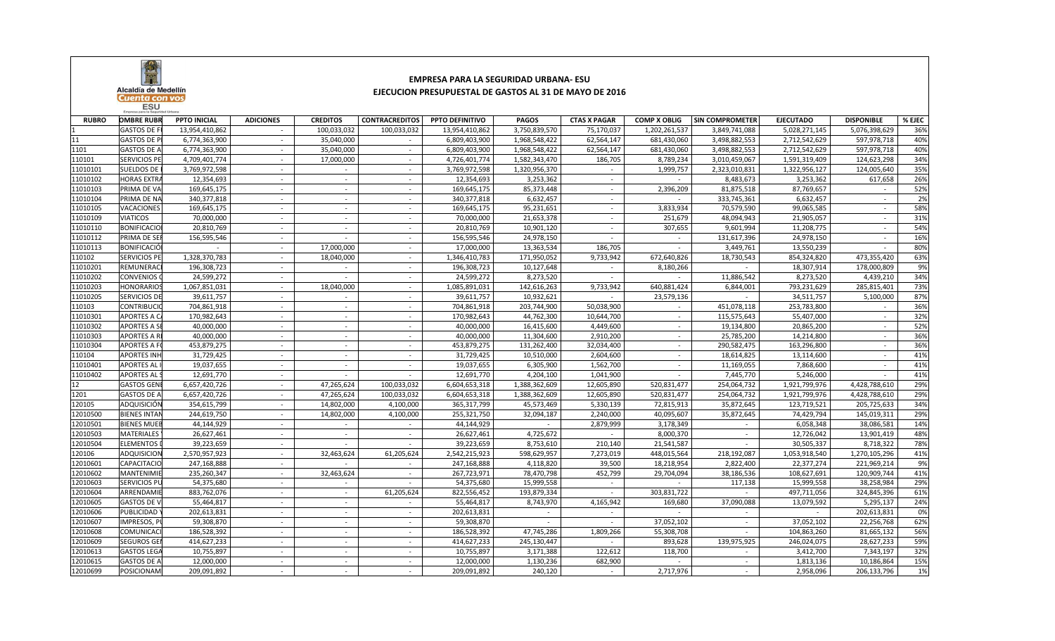

## **EMPRESA PARA LA SEGURIDAD URBANA- ESUEJECUCION PRESUPUESTAL DE GASTOS AL 31 DE MAYO DE 2016**

| <b>RUBRO</b> | <b>OMBRE RUBR</b>   | <b>PPTO INICIAL</b> | <b>ADICIONES</b> | <b>CREDITOS</b>          | <b>CONTRACREDITOS</b>    | PPTO DEFINITIVO | <b>PAGOS</b>  | <b>CTAS X PAGAR</b> | <b>COMP X OBLIG</b> | <b>SIN COMPROMETER</b> | <b>EJECUTADO</b> | <b>DISPONIBLE</b> | % EJEC |
|--------------|---------------------|---------------------|------------------|--------------------------|--------------------------|-----------------|---------------|---------------------|---------------------|------------------------|------------------|-------------------|--------|
|              | <b>GASTOS DE F</b>  | 13,954,410,862      | $\sim$           | 100,033,032              | 100,033,032              | 13,954,410,862  | 3,750,839,570 | 75,170,037          | 1,202,261,537       | 3,849,741,088          | 5,028,271,145    | 5,076,398,629     | 36%    |
| 11           | <b>GASTOS DE P</b>  | 6,774,363,900       | $\sim$           | 35,040,000               |                          | 6,809,403,900   | 1,968,548,422 | 62,564,147          | 681,430,060         | 3,498,882,553          | 2,712,542,629    | 597,978,718       | 40%    |
| 1101         | <b>GASTOS DE A</b>  | 6,774,363,900       | $\sim$           | 35,040,000               |                          | 6,809,403,900   | 1,968,548,422 | 62,564,147          | 681,430,060         | 3,498,882,553          | 2,712,542,629    | 597,978,718       | 40%    |
| 110101       | <b>SERVICIOS PE</b> | 4,709,401,774       | $\sim$           | 17,000,000               | $\sim$                   | 4,726,401,774   | 1,582,343,470 | 186,705             | 8,789,234           | 3,010,459,067          | 1,591,319,409    | 124,623,298       | 34%    |
| 11010101     | <b>SUELDOS DE</b>   | 3,769,972,598       | $\sim$           | $\sim$                   | $\overline{\phantom{a}}$ | 3,769,972,598   | 1,320,956,370 | $\sim$              | 1,999,757           | 2,323,010,831          | 1,322,956,127    | 124,005,640       | 35%    |
| 11010102     | <b>HORAS EXTR.</b>  | 12,354,693          | $\sim$           | $\sim$                   | $\sim$                   | 12,354,693      | 3,253,362     |                     |                     | 8,483,673              | 3,253,362        | 617,658           | 26%    |
| 11010103     | PRIMA DE VA         | 169,645,175         | $\sim$           |                          | $\overline{\phantom{a}}$ | 169,645,175     | 85,373,448    |                     | 2,396,209           | 81,875,518             | 87,769,657       |                   | 52%    |
| 11010104     | PRIMA DE NA         | 340,377,818         |                  |                          |                          | 340, 377, 818   | 6,632,457     |                     |                     | 333,745,361            | 6,632,457        |                   | 2%     |
| 11010105     | VACACIONES          | 169,645,175         | $\sim$           | $\overline{\phantom{a}}$ | $\overline{\phantom{a}}$ | 169,645,175     | 95,231,651    | $\sim$              | 3,833,934           | 70,579,590             | 99,065,585       | $\sim$            | 58%    |
| 11010109     | <b>VIATICOS</b>     | 70,000,000          | $\sim$           | $\overline{\phantom{a}}$ | $\sim$                   | 70,000,000      | 21,653,378    | $\sim$              | 251,679             | 48,094,943             | 21,905,057       |                   | 31%    |
| 11010110     | <b>BONIFICACIO</b>  | 20,810,769          | $\sim$           | $\sim$                   | $\sim$                   | 20,810,769      | 10,901,120    | $\sim$              | 307,655             | 9,601,994              | 11,208,775       | $\sim$            | 54%    |
| 11010112     | PRIMA DE SEI        | 156,595,546         | $\sim$           | $\overline{\phantom{a}}$ | $\overline{\phantom{a}}$ | 156,595,546     | 24,978,150    | $\sim$              |                     | 131,617,396            | 24,978,150       |                   | 16%    |
| 11010113     | <b>BONIFICACIÓ</b>  |                     | $\sim$           | 17,000,000               | $\sim$                   | 17,000,000      | 13,363,534    | 186,705             |                     | 3,449,761              | 13,550,239       |                   | 80%    |
| 110102       | <b>SERVICIOS PE</b> | 1,328,370,783       | $\sim$           | 18,040,000               | $\overline{\phantom{a}}$ | 1,346,410,783   | 171,950,052   | 9,733,942           | 672,640,826         | 18,730,543             | 854,324,820      | 473,355,420       | 63%    |
| 11010201     | REMUNERAC           | 196,308,723         |                  |                          |                          | 196,308,723     | 10,127,648    |                     | 8,180,266           |                        | 18,307,914       | 178,000,809       | 9%     |
| 11010202     | <b>CONVENIOS</b>    | 24,599,272          | $\sim$           |                          | $\sim$                   | 24,599,272      | 8,273,520     | $\sim$              |                     | 11,886,542             | 8,273,520        | 4,439,210         | 34%    |
| 11010203     | HONORARIOS          | 1,067,851,031       | $\sim$           | 18,040,000               | $\overline{\phantom{a}}$ | 1,085,891,031   | 142,616,263   | 9,733,942           | 640,881,424         | 6,844,001              | 793,231,629      | 285,815,401       | 73%    |
| 11010205     | <b>SERVICIOS DE</b> | 39,611,757          | $\sim$           | $\sim$                   | $\sim$                   | 39,611,757      | 10,932,621    | $\sim$              | 23,579,136          | $\sim$                 | 34,511,757       | 5,100,000         | 87%    |
| 110103       | <b>CONTRIBUCI</b>   | 704,861,918         | $\sim$           | $\overline{\phantom{a}}$ | $\overline{\phantom{a}}$ | 704,861,918     | 203,744,900   | 50,038,900          |                     | 451,078,118            | 253,783,800      |                   | 36%    |
| 11010301     | <b>APORTES A C</b>  | 170,982,643         | $\sim$           |                          | $\sim$                   | 170,982,643     | 44,762,300    | 10,644,700          |                     | 115,575,643            | 55,407,000       |                   | 32%    |
| 11010302     | <b>APORTES A S</b>  | 40,000,000          | $\sim$           |                          |                          | 40,000,000      | 16,415,600    | 4,449,600           |                     | 19,134,800             | 20,865,200       |                   | 52%    |
| 11010303     | <b>APORTES A I</b>  | 40,000,000          |                  |                          |                          | 40,000,000      | 11,304,600    | 2,910,200           |                     | 25,785,200             | 14,214,800       |                   | 36%    |
| 11010304     | <b>APORTES A F</b>  | 453,879,275         | $\sim$           | $\sim$                   | $\sim$                   | 453,879,275     | 131,262,400   | 32,034,400          | $\sim$              | 290,582,475            | 163,296,800      | $\sim$            | 36%    |
| 110104       | <b>APORTES INH</b>  | 31,729,425          | $\sim$           | $\sim$                   | $\overline{\phantom{a}}$ | 31,729,425      | 10,510,000    | 2,604,600           | $\sim$              | 18,614,825             | 13,114,600       | $\sim$            | 41%    |
| 11010401     | <b>APORTES AL</b>   | 19,037,655          | $\sim$           | $\sim$                   | $\overline{\phantom{a}}$ | 19,037,655      | 6,305,900     | 1,562,700           | $\sim$              | 11,169,055             | 7,868,600        |                   | 41%    |
| 11010402     | <b>APORTES AL</b>   | 12,691,770          | $\sim$           |                          | $\sim$                   | 12,691,770      | 4,204,100     | 1,041,900           |                     | 7,445,770              | 5,246,000        |                   | 41%    |
| 12           | <b>GASTOS GEN</b>   | 6,657,420,726       | $\sim$           | 47,265,624               | 100,033,032              | 6,604,653,318   | 1,388,362,609 | 12,605,890          | 520,831,477         | 254,064,732            | 1,921,799,976    | 4,428,788,610     | 29%    |
| 1201         | <b>GASTOS DE A</b>  | 6,657,420,726       | $\sim$           | 47,265,624               | 100,033,032              | 6,604,653,318   | 1,388,362,609 | 12,605,890          | 520,831,477         | 254,064,732            | 1,921,799,976    | 4,428,788,610     | 29%    |
| 120105       | ADQUISICIÓN         | 354,615,799         | $\sim$           | 14,802,000               | 4,100,000                | 365,317,799     | 45,573,469    | 5,330,139           | 72,815,913          | 35,872,645             | 123,719,521      | 205,725,633       | 34%    |
| 12010500     | <b>BIENES INTAI</b> | 244,619,750         | $\sim$           | 14,802,000               | 4,100,000                | 255,321,750     | 32,094,187    | 2,240,000           | 40,095,607          | 35,872,645             | 74,429,794       | 145,019,311       | 29%    |
| 12010501     | <b>BIENES MUEE</b>  | 44,144,929          | $\sim$           | $\sim$                   |                          | 44,144,929      | $\sim$        | 2,879,999           | 3,178,349           |                        | 6,058,348        | 38,086,581        | 14%    |
| 12010503     | <b>MATERIALES</b>   | 26,627,461          | $\sim$           | $\sim$                   | $\overline{\phantom{a}}$ | 26,627,461      | 4,725,672     |                     | 8,000,370           |                        | 12,726,042       | 13,901,419        | 48%    |
| 12010504     | <b>ELEMENTOS</b>    | 39,223,659          | $\sim$           |                          |                          | 39,223,659      | 8,753,610     | 210,140             | 21,541,587          |                        | 30,505,337       | 8,718,322         | 78%    |
| 120106       | <b>ADQUISICION</b>  | 2,570,957,923       | $\sim$           | 32,463,624               | 61,205,624               | 2,542,215,923   | 598,629,957   | 7,273,019           | 448,015,564         | 218,192,087            | 1,053,918,540    | 1,270,105,296     | 41%    |
| 12010601     | <b>CAPACITACIO</b>  | 247,168,888         | $\sim$           |                          | $\sim$                   | 247,168,888     | 4,118,820     | 39,500              | 18,218,954          | 2,822,400              | 22,377,274       | 221,969,214       | 9%     |
| 12010602     | <b>MANTENIMIE</b>   | 235,260,347         | $\sim$           | 32,463,624               | $\sim$                   | 267,723,971     | 78,470,798    | 452,799             | 29,704,094          | 38,186,536             | 108,627,691      | 120,909,744       | 41%    |
| 12010603     | <b>SERVICIOS PL</b> | 54,375,680          | $\sim$           | $\sim$                   | $\mathbf{r}$             | 54,375,680      | 15,999,558    | $\sim$              |                     | 117,138                | 15,999,558       | 38,258,984        | 29%    |
| 12010604     | ARRENDAMII          | 883,762,076         | $\sim$           | $\overline{\phantom{a}}$ | 61,205,624               | 822,556,452     | 193,879,334   |                     | 303,831,722         |                        | 497,711,056      | 324,845,396       | 61%    |
| 12010605     | <b>GASTOS DE \</b>  | 55,464,817          | $\sim$           |                          |                          | 55,464,817      | 8,743,970     | 4,165,942           | 169,680             | 37,090,088             | 13,079,592       | 5,295,137         | 24%    |
| 12010606     | PUBLICIDAD          | 202,613,831         | $\sim$           |                          |                          | 202,613,831     |               |                     |                     |                        |                  | 202,613,831       | 0%     |
| 12010607     | IMPRESOS, P         | 59,308,870          | $\sim$           |                          | $\overline{\phantom{a}}$ | 59,308,870      |               |                     | 37,052,102          |                        | 37,052,102       | 22,256,768        | 62%    |
| 12010608     | COMUNICAC           | 186,528,392         | $\sim$           | $\sim$                   | $\sim$                   | 186,528,392     | 47,745,286    | 1,809,266           | 55,308,708          | $\sim$                 | 104,863,260      | 81,665,132        | 56%    |
| 12010609     | <b>SEGUROS GEI</b>  | 414,627,233         | $\sim$           | $\sim$                   | $\overline{\phantom{a}}$ | 414,627,233     | 245,130,447   | $\sim$              | 893,628             | 139,975,925            | 246,024,075      | 28,627,233        | 59%    |
| 12010613     | <b>GASTOS LEGA</b>  | 10,755,897          | $\sim$           | $\sim$                   | $\sim$                   | 10,755,897      | 3,171,388     | 122,612             | 118,700             | $\sim$                 | 3,412,700        | 7,343,197         | 32%    |
| 12010615     | <b>GASTOS DE A</b>  | 12,000,000          | $\sim$           | $\sim$                   | $\overline{\phantom{a}}$ | 12,000,000      | 1,130,236     | 682,900             |                     |                        | 1,813,136        | 10,186,864        | 15%    |
| 12010699     | POSICIONAM          | 209,091,892         |                  |                          |                          | 209,091,892     | 240,120       |                     | 2,717,976           |                        | 2,958,096        | 206,133,796       | 1%     |